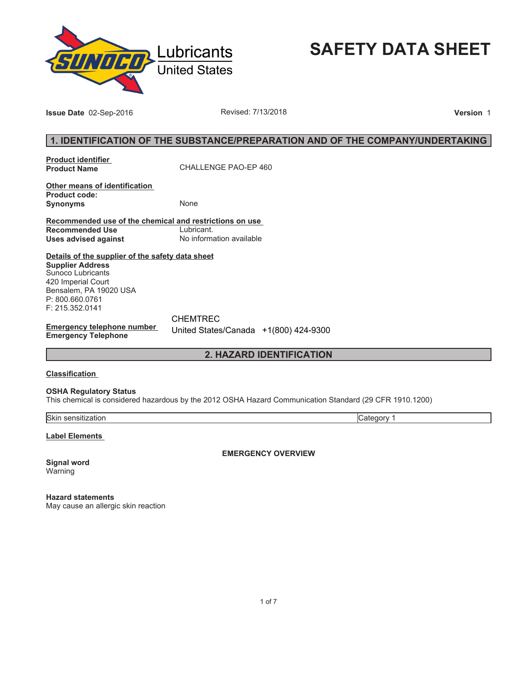

**SAFETY DATA SHEET**

**Issue Date** 02-Sep-2016 **Revised: 7/13/2018 Version** 1

# **1. IDENTIFICATION OF THE SUBSTANCE/PREPARATION AND OF THE COMPANY/UNDERTAKING**

**Product identifier** 

**Product Name** CHALLENGE PAO-EP 460

**Other means of identification Product code: Synonyms** None

**Recommended use of the chemical and restrictions on use Recommended Use<br>Uses advised against Uses advised against** No information available

**Details of the supplier of the safety data sheet Supplier Address** Sunoco Lubricants 420 Imperial Court Bensalem, PA 19020 USA P: 800.660.0761

**Emergency telephone number Emergency Telephone**

CHEMTREC United States/Canada +1(800) 424-9300

# **2. HAZARD IDENTIFICATION**

#### **Classification**

F: 215.352.0141

#### **OSHA Regulatory Status**

This chemical is considered hazardous by the 2012 OSHA Hazard Communication Standard (29 CFR 1910.1200)

Skin sensitization Category 1

**Label Elements** 

**EMERGENCY OVERVIEW**

**Signal word** Warning

**Hazard statements** May cause an allergic skin reaction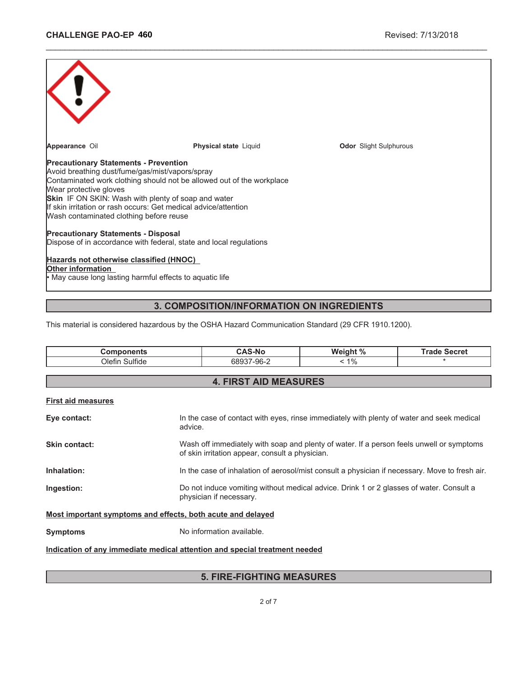| Appearance Oil                                                                                                                                                                                                                                                                   | <b>Physical state Liquid</b>                                                                                                             | <b>Odor</b> Slight Sulphurous |
|----------------------------------------------------------------------------------------------------------------------------------------------------------------------------------------------------------------------------------------------------------------------------------|------------------------------------------------------------------------------------------------------------------------------------------|-------------------------------|
| <b>Precautionary Statements - Prevention</b><br>Avoid breathing dust/fume/gas/mist/vapors/spray<br>Wear protective gloves<br><b>Skin</b> IF ON SKIN: Wash with plenty of soap and water<br>Wash contaminated clothing before reuse<br><b>Precautionary Statements - Disposal</b> | Contaminated work clothing should not be allowed out of the workplace<br>If skin irritation or rash occurs: Get medical advice/attention |                               |
|                                                                                                                                                                                                                                                                                  | Dispose of in accordance with federal, state and local regulations                                                                       |                               |
| Hazards not otherwise classified (HNOC)<br>Other information<br>• May cause long lasting harmful effects to aquatic life                                                                                                                                                         |                                                                                                                                          |                               |

\_\_\_\_\_\_\_\_\_\_\_\_\_\_\_\_\_\_\_\_\_\_\_\_\_\_\_\_\_\_\_\_\_\_\_\_\_\_\_\_\_\_\_\_\_\_\_\_\_\_\_\_\_\_\_\_\_\_\_\_\_\_\_\_\_\_\_\_\_\_\_\_\_\_\_\_\_\_\_\_\_\_\_\_\_\_\_\_\_\_\_\_\_

# **3. COMPOSITION/INFORMATION ON INGREDIENTS**

This material is considered hazardous by the OSHA Hazard Communication Standard (29 CFR 1910.1200).

| <b>Components</b>                                                          | <b>CAS-No</b>                                                                                                                               | Weight % | <b>Trade Secret</b> |
|----------------------------------------------------------------------------|---------------------------------------------------------------------------------------------------------------------------------------------|----------|---------------------|
| Olefin Sulfide                                                             | 68937-96-2                                                                                                                                  | $< 1\%$  |                     |
|                                                                            |                                                                                                                                             |          |                     |
|                                                                            | <b>4. FIRST AID MEASURES</b>                                                                                                                |          |                     |
| <b>First aid measures</b>                                                  |                                                                                                                                             |          |                     |
| Eye contact:<br>advice.                                                    | In the case of contact with eyes, rinse immediately with plenty of water and seek medical                                                   |          |                     |
| Skin contact:                                                              | Wash off immediately with soap and plenty of water. If a person feels unwell or symptoms<br>of skin irritation appear, consult a physician. |          |                     |
| Inhalation:                                                                | In the case of inhalation of aerosol/mist consult a physician if necessary. Move to fresh air.                                              |          |                     |
| Ingestion:                                                                 | Do not induce vomiting without medical advice. Drink 1 or 2 glasses of water. Consult a<br>physician if necessary.                          |          |                     |
| Most important symptoms and effects, both acute and delayed                |                                                                                                                                             |          |                     |
| <b>Symptoms</b>                                                            | No information available.                                                                                                                   |          |                     |
| Indication of any immediate medical attention and special treatment needed |                                                                                                                                             |          |                     |

# **5. FIRE-FIGHTING MEASURES**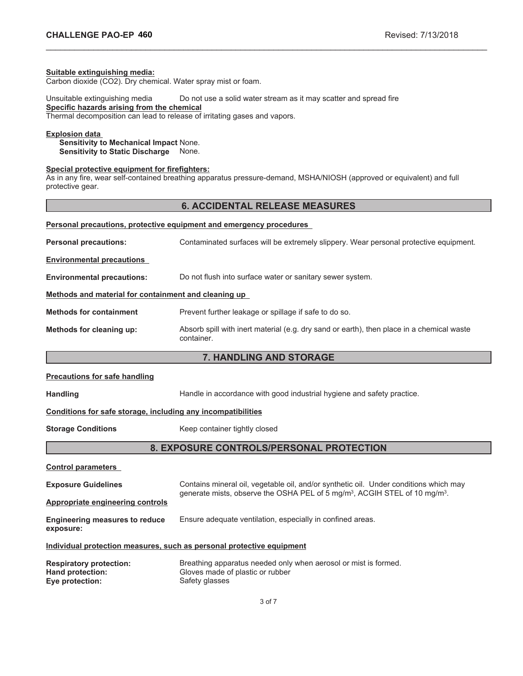#### **Suitable extinguishing media:**

Carbon dioxide (CO2). Dry chemical. Water spray mist or foam.

Unsuitable extinguishing media Do not use a solid water stream as it may scatter and spread fire **Specific hazards arising from the chemical**

Thermal decomposition can lead to release of irritating gases and vapors.

# **Explosion data**

**Sensitivity to Mechanical Impact** None. **Sensitivity to Static Discharge** None.

#### **Special protective equipment for firefighters:**

As in any fire, wear self-contained breathing apparatus pressure-demand, MSHA/NIOSH (approved or equivalent) and full protective gear.

## **6. ACCIDENTAL RELEASE MEASURES**

\_\_\_\_\_\_\_\_\_\_\_\_\_\_\_\_\_\_\_\_\_\_\_\_\_\_\_\_\_\_\_\_\_\_\_\_\_\_\_\_\_\_\_\_\_\_\_\_\_\_\_\_\_\_\_\_\_\_\_\_\_\_\_\_\_\_\_\_\_\_\_\_\_\_\_\_\_\_\_\_\_\_\_\_\_\_\_\_\_\_\_\_\_

|                                                      | Personal precautions, protective equipment and emergency procedures                                     |
|------------------------------------------------------|---------------------------------------------------------------------------------------------------------|
| <b>Personal precautions:</b>                         | Contaminated surfaces will be extremely slippery. Wear personal protective equipment.                   |
| <b>Environmental precautions</b>                     |                                                                                                         |
| <b>Environmental precautions:</b>                    | Do not flush into surface water or sanitary sewer system.                                               |
| Methods and material for containment and cleaning up |                                                                                                         |
| <b>Methods for containment</b>                       | Prevent further leakage or spillage if safe to do so.                                                   |
| Methods for cleaning up:                             | Absorb spill with inert material (e.g. dry sand or earth), then place in a chemical waste<br>container. |
|                                                      | 7. HANDLING AND STORAGE                                                                                 |
| <b>Precautions for safe handling</b>                 |                                                                                                         |
| <b>Handling</b>                                      | Handle in accordance with good industrial hygiene and safety practice.                                  |

#### **Conditions for safe storage, including any incompatibilities**

**Storage Conditions** Keep container tightly closed

# **8. EXPOSURE CONTROLS/PERSONAL PROTECTION**

**Control parameters Exposure Guidelines** Contains mineral oil, vegetable oil, and/or synthetic oil. Under conditions which may generate mists, observe the OSHA PEL of 5 mg/m $^3$ , ACGIH STEL of 10 mg/m $^3\!$ . **Appropriate engineering controls Engineering measures to reduce exposure:** Ensure adequate ventilation, especially in confined areas. **Individual protection measures, such as personal protective equipment Respiratory protection:** Breathing apparatus needed only when aerosol or mist is formed. **Hand protection:** Gloves made of plastic or rubber **Eye protection:** Safety glasses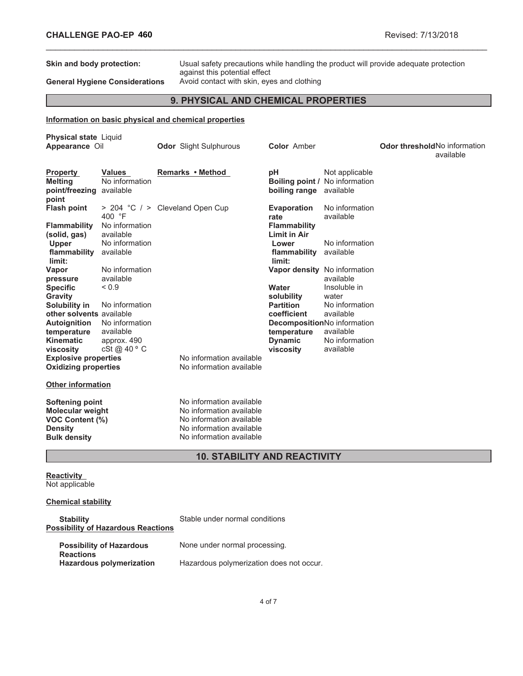**Skin and body protection:** Usual safety precautions while handling the product will provide adequate protection against this potential effect

# General Hygiene Considerations Avoid contact with skin, eyes and clothing

# **9. PHYSICAL AND CHEMICAL PROPERTIES**

\_\_\_\_\_\_\_\_\_\_\_\_\_\_\_\_\_\_\_\_\_\_\_\_\_\_\_\_\_\_\_\_\_\_\_\_\_\_\_\_\_\_\_\_\_\_\_\_\_\_\_\_\_\_\_\_\_\_\_\_\_\_\_\_\_\_\_\_\_\_\_\_\_\_\_\_\_\_\_\_\_\_\_\_\_\_\_\_\_\_\_\_\_

## **Information on basic physical and chemical properties**

| <b>Physical state Liquid</b><br>Appearance Oil                                                         |                                                         | <b>Odor</b> Slight Sulphurous                                                                                                            | <b>Color Amber</b>                                                                |                                                      | <b>Odor threshold No information</b><br>available |
|--------------------------------------------------------------------------------------------------------|---------------------------------------------------------|------------------------------------------------------------------------------------------------------------------------------------------|-----------------------------------------------------------------------------------|------------------------------------------------------|---------------------------------------------------|
| <b>Property</b><br><b>Melting</b><br>point/freezing available<br>point                                 | <b>Values</b><br>No information                         | Remarks • Method                                                                                                                         | pH<br>Boiling point /<br>boiling range                                            | Not applicable<br>No information<br>available        |                                                   |
| <b>Flash point</b><br><b>Flammability</b><br>(solid, gas)<br>Upper                                     | 400 °F<br>No information<br>available<br>No information | > 204 °C / > Cleveland Open Cup                                                                                                          | <b>Evaporation</b><br>rate<br><b>Flammability</b><br><b>Limit in Air</b><br>Lower | No information<br>available<br>No information        |                                                   |
| flammability<br>limit:<br>Vapor                                                                        | available<br>No information                             |                                                                                                                                          | flammability<br>limit:<br>Vapor density No information                            | available                                            |                                                   |
| pressure<br><b>Specific</b><br>Gravity<br>Solubility in                                                | available<br>${}_{0.9}$<br>No information               |                                                                                                                                          | Water<br>solubility<br><b>Partition</b>                                           | available<br>Insoluble in<br>water<br>No information |                                                   |
| other solvents available<br><b>Autoignition</b><br>temperature                                         | No information<br>available                             |                                                                                                                                          | coefficient<br>DecompositionNo information<br>temperature                         | available<br>available<br>No information             |                                                   |
| <b>Kinematic</b><br>viscosity<br><b>Explosive properties</b><br><b>Oxidizing properties</b>            | approx. 490<br>cSt @ $40^{\circ}$ C                     | No information available<br>No information available                                                                                     | <b>Dynamic</b><br>viscosity                                                       | available                                            |                                                   |
| <b>Other information</b>                                                                               |                                                         |                                                                                                                                          |                                                                                   |                                                      |                                                   |
| Softening point<br><b>Molecular weight</b><br>VOC Content (%)<br><b>Density</b><br><b>Bulk density</b> |                                                         | No information available<br>No information available<br>No information available<br>No information available<br>No information available |                                                                                   |                                                      |                                                   |

# **10. STABILITY AND REACTIVITY**

**Reactivity** Not applicable

## **Chemical stability**

| <b>Stability</b><br><b>Possibility of Hazardous Reactions</b> | Stable under normal conditions           |
|---------------------------------------------------------------|------------------------------------------|
| <b>Possibility of Hazardous</b><br><b>Reactions</b>           | None under normal processing.            |
| <b>Hazardous polymerization</b>                               | Hazardous polymerization does not occur. |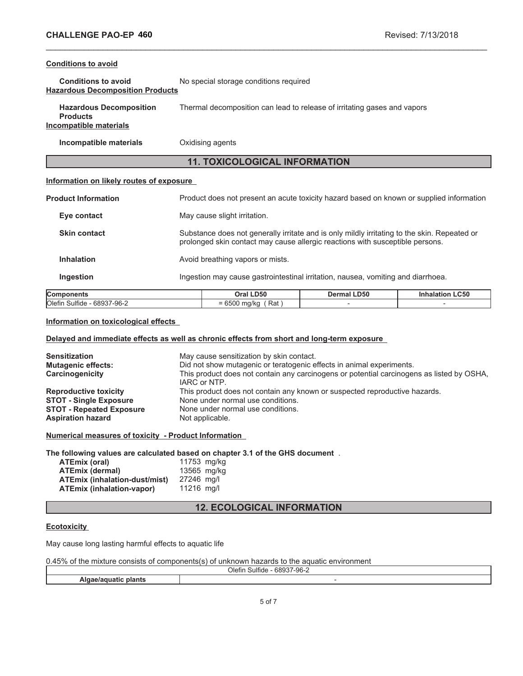## **Conditions to avoid**

| <b>Conditions to avoid</b>              | No special storage conditions required |
|-----------------------------------------|----------------------------------------|
| <b>Hazardous Decomposition Products</b> |                                        |

| <b>Hazardous Decomposition</b> | Thermal decomposition can lead to release of irritating gases and vapors |
|--------------------------------|--------------------------------------------------------------------------|
| <b>Products</b>                |                                                                          |
| Incompatible materials         |                                                                          |

**Incompatible materials** Oxidising agents

# **11. TOXICOLOGICAL INFORMATION**

\_\_\_\_\_\_\_\_\_\_\_\_\_\_\_\_\_\_\_\_\_\_\_\_\_\_\_\_\_\_\_\_\_\_\_\_\_\_\_\_\_\_\_\_\_\_\_\_\_\_\_\_\_\_\_\_\_\_\_\_\_\_\_\_\_\_\_\_\_\_\_\_\_\_\_\_\_\_\_\_\_\_\_\_\_\_\_\_\_\_\_\_\_

# **Information on likely routes of exposure**

| <b>Components</b>          | Oral LD50                        | <b>Dermal LD50</b>                                                                                                                                                            | <b>Inhalation LC50</b> |  |
|----------------------------|----------------------------------|-------------------------------------------------------------------------------------------------------------------------------------------------------------------------------|------------------------|--|
| <b>Ingestion</b>           |                                  | Ingestion may cause gastrointestinal irritation, nausea, vomiting and diarrhoea.                                                                                              |                        |  |
| <b>Inhalation</b>          | Avoid breathing vapors or mists. |                                                                                                                                                                               |                        |  |
| <b>Skin contact</b>        |                                  | Substance does not generally irritate and is only mildly irritating to the skin. Repeated or<br>prolonged skin contact may cause allergic reactions with susceptible persons. |                        |  |
| Eye contact                | May cause slight irritation.     |                                                                                                                                                                               |                        |  |
| <b>Product Information</b> |                                  | Product does not present an acute toxicity hazard based on known or supplied information                                                                                      |                        |  |

# **Components Oral LD50 Dermal LD50 Inhalation LC50**  $\overline{O}$ lefin Sulfide - 68937-96-2  $= 6500 \text{ mg/kg}$  (Rat ) -  $-$

# **Information on toxicological effects**

## **Delayed and immediate effects as well as chronic effects from short and long-term exposure**

| <b>Sensitization</b><br><b>Mutagenic effects:</b><br>Carcinogenicity | May cause sensitization by skin contact.<br>Did not show mutagenic or teratogenic effects in animal experiments.<br>This product does not contain any carcinogens or potential carcinogens as listed by OSHA,<br>IARC or NTP. |
|----------------------------------------------------------------------|-------------------------------------------------------------------------------------------------------------------------------------------------------------------------------------------------------------------------------|
| <b>Reproductive toxicity</b>                                         | This product does not contain any known or suspected reproductive hazards.                                                                                                                                                    |
| <b>STOT - Single Exposure</b>                                        | None under normal use conditions.                                                                                                                                                                                             |
| <b>STOT - Repeated Exposure</b>                                      | None under normal use conditions.                                                                                                                                                                                             |
| <b>Aspiration hazard</b>                                             | Not applicable.                                                                                                                                                                                                               |

**Numerical measures of toxicity - Product Information**

## **The following values are calculated based on chapter 3.1 of the GHS document** .

| ATEmix (oral)                        | 11753 mg/kg |  |
|--------------------------------------|-------------|--|
| <b>ATEmix (dermal)</b>               | 13565 mg/kg |  |
| <b>ATEmix (inhalation-dust/mist)</b> | 27246 mg/l  |  |
| <b>ATEmix (inhalation-vapor)</b>     | 11216 ma/l  |  |

# **12. ECOLOGICAL INFORMATION**

## **Ecotoxicity**

May cause long lasting harmful effects to aquatic life

| 0.45% of the mixture consists of components(s) of unknown hazards to the aquatic environment |  |  |
|----------------------------------------------------------------------------------------------|--|--|
|----------------------------------------------------------------------------------------------|--|--|

| <b>Olefin</b><br>---<br>n.,<br>шс<br>`` |  |  |
|-----------------------------------------|--|--|
|                                         |  |  |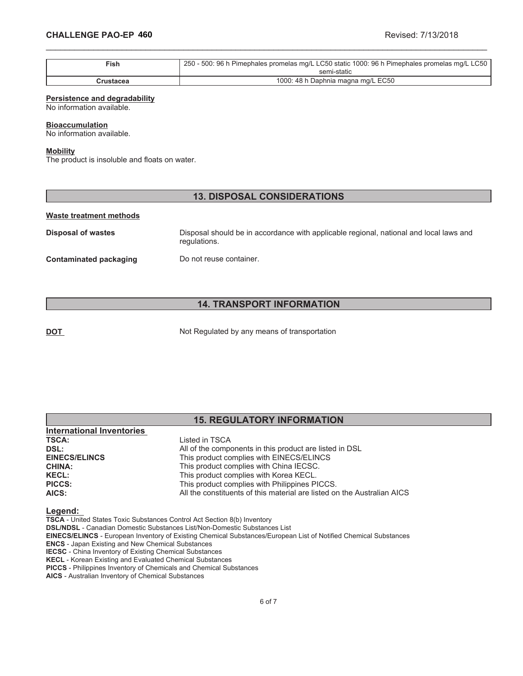| $\mathsf{Fish}$ | 250 - 500: 96 h Pimephales promelas mg/L LC50 static 1000: 96 h Pimephales promelas mg/L LC50 |
|-----------------|-----------------------------------------------------------------------------------------------|
|                 | semi-static                                                                                   |
| Crustacea       | 1000: 48 h Daphnia magna mg/L EC50                                                            |

\_\_\_\_\_\_\_\_\_\_\_\_\_\_\_\_\_\_\_\_\_\_\_\_\_\_\_\_\_\_\_\_\_\_\_\_\_\_\_\_\_\_\_\_\_\_\_\_\_\_\_\_\_\_\_\_\_\_\_\_\_\_\_\_\_\_\_\_\_\_\_\_\_\_\_\_\_\_\_\_\_\_\_\_\_\_\_\_\_\_\_\_\_

#### **Persistence and degradability**

No information available.

#### **Bioaccumulation**

No information available.

### **Mobility**

The product is insoluble and floats on water.

## **13. DISPOSAL CONSIDERATIONS**

#### **Waste treatment methods**

**Disposal of wastes** Disposal should be in accordance with applicable regional, national and local laws and regulations. **Contaminated packaging Do not reuse container.** 

# **14. TRANSPORT INFORMATION**

**DOT** Not Regulated by any means of transportation

## **15. REGULATORY INFORMATION International Inventories TSCA:** Listed in TSCA **DSL:**<br> **All of the components in this product are listed in DSL<br>
<b>EINECS/ELINCS**<br>
This product complies with EINECS/ELINCS **EINECS/ELINCS** This product complies with EINECS/ELINCS<br> **CHINA:** This product complies with China IECSC. This product complies with China IECSC.

**KECL:** This product complies with Korea KECL. **PICCS:** This product complies with Philippines PICCS. **AICS:** All the constituents of this material are listed on the Australian AICS

#### **Legend:**

**TSCA** - United States Toxic Substances Control Act Section 8(b) Inventory

**DSL/NDSL** - Canadian Domestic Substances List/Non-Domestic Substances List

**EINECS/ELINCS** - European Inventory of Existing Chemical Substances/European List of Notified Chemical Substances

**ENCS** - Japan Existing and New Chemical Substances

**IECSC** - China Inventory of Existing Chemical Substances **KECL** - Korean Existing and Evaluated Chemical Substances

**PICCS** - Philippines Inventory of Chemicals and Chemical Substances

**AICS** - Australian Inventory of Chemical Substances